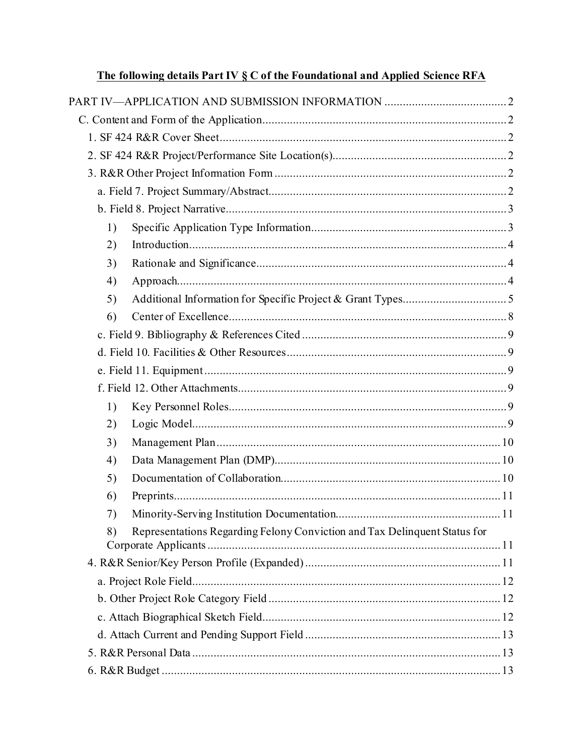|    | <u>I he following details Part IV S C of the Foundational and Applied Science RFA</u> |  |
|----|---------------------------------------------------------------------------------------|--|
|    |                                                                                       |  |
|    |                                                                                       |  |
|    |                                                                                       |  |
|    |                                                                                       |  |
|    |                                                                                       |  |
|    |                                                                                       |  |
|    |                                                                                       |  |
| 1) |                                                                                       |  |
| 2) |                                                                                       |  |
| 3) |                                                                                       |  |
| 4) |                                                                                       |  |
| 5) |                                                                                       |  |
| 6) |                                                                                       |  |
|    |                                                                                       |  |
|    |                                                                                       |  |
|    |                                                                                       |  |
|    |                                                                                       |  |
| 1) |                                                                                       |  |
| 2) |                                                                                       |  |
| 3) |                                                                                       |  |
| 4) |                                                                                       |  |
| 5) |                                                                                       |  |
| 6) |                                                                                       |  |
| 7) |                                                                                       |  |
| 8) | Representations Regarding Felony Conviction and Tax Delinquent Status for             |  |
|    |                                                                                       |  |
|    |                                                                                       |  |
|    |                                                                                       |  |
|    |                                                                                       |  |
|    |                                                                                       |  |
|    |                                                                                       |  |
|    |                                                                                       |  |

# The following details Part IV & C of the Foundational and Annlied Science RFA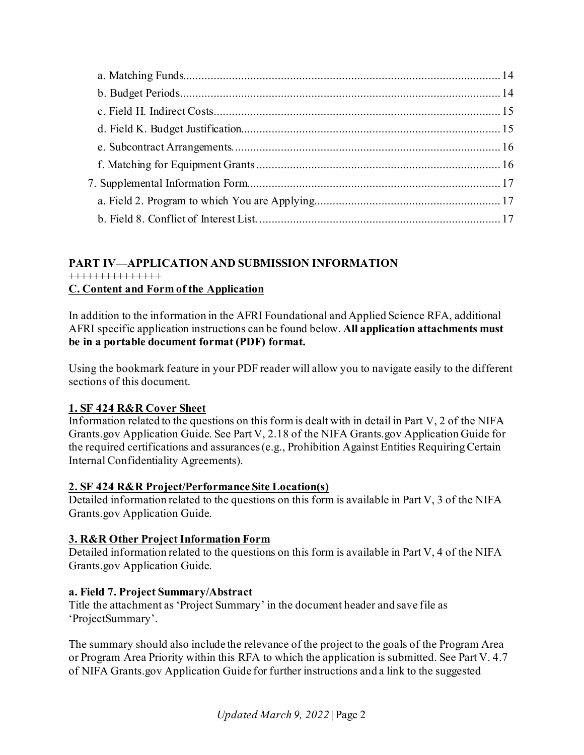# <span id="page-1-0"></span>**PART IV—APPLICATION AND SUBMISSION INFORMATION**

### +++++++++++++++

### <span id="page-1-1"></span>**C. Content and Form of the Application**

In addition to the information in the AFRI Foundational and Applied Science RFA, additional AFRI specific application instructions can be found below. **All application attachments must be in a portable document format (PDF) format.**

Using the bookmark feature in your PDF reader will allow you to navigate easily to the different sections of this document.

# <span id="page-1-2"></span>**1. SF 424 R&R Cover Sheet**

Information related to the questions on this form is dealt with in detail in Part V, 2 of the NIFA Grants.gov Application Guide. See Part V, 2.18 of the NIFA Grants.gov Application Guide for the required certifications and assurances (e.g., Prohibition Against Entities Requiring Certain Internal Confidentiality Agreements).

# <span id="page-1-3"></span>**2. SF 424 R&R Project/Performance Site Location(s)**

Detailed information related to the questions on this form is available in Part V, 3 of the NIFA Grants.gov Application Guide.

# <span id="page-1-4"></span>**3. R&R Other Project Information Form**

Detailed information related to the questions on this form is available in Part V, 4 of the NIFA Grants.gov Application Guide.

### <span id="page-1-5"></span>**a. Field 7. Project Summary/Abstract**

Title the attachment as 'Project Summary' in the document header and save file as 'ProjectSummary'.

The summary should also include the relevance of the project to the goals of the Program Area or Program Area Priority within this RFA to which the application is submitted. See Part V. 4.7 of NIFA Grants.gov Application Guide for further instructions and a link to the suggested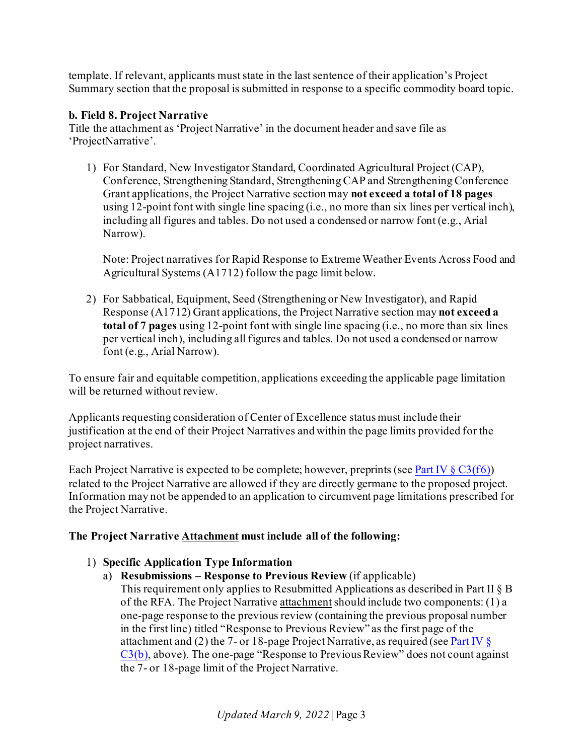template. If relevant, applicants must state in the last sentence of their application's Project Summary section that the proposal is submitted in response to a specific commodity board topic.

# <span id="page-2-0"></span>**b. Field 8. Project Narrative**

Title the attachment as 'Project Narrative' in the document header and save file as 'ProjectNarrative'.

1) For Standard, New Investigator Standard, Coordinated Agricultural Project (CAP), Conference, Strengthening Standard, Strengthening CAP and Strengthening Conference Grant applications, the Project Narrative section may **not exceed a total of 18 pages** using 12-point font with single line spacing (i.e., no more than six lines per vertical inch), including all figures and tables. Do not used a condensed or narrow font (e.g., Arial Narrow).

Note: Project narratives for Rapid Response to Extreme Weather Events Across Food and Agricultural Systems (A1712) follow the page limit below.

2) For Sabbatical, Equipment, Seed (Strengthening or New Investigator), and Rapid Response (A1712) Grant applications, the Project Narrative section may **not exceed a total of 7 pages** using 12-point font with single line spacing (i.e., no more than six lines per vertical inch), including all figures and tables. Do not used a condensed or narrow font (e.g., Arial Narrow).

To ensure fair and equitable competition, applications exceeding the applicable page limitation will be returned without review.

Applicants requesting consideration of Center of Excellence status must include their justification at the end of their Project Narratives and within the page limits provided for the project narratives.

Each Project Narrative is expected to be complete; however, preprints (see Part IV  $\S C3(f6)$ ) related to the Project Narrative are allowed if they are directly germane to the proposed project. Information may not be appended to an application to circumvent page limitations prescribed for the Project Narrative.

# **The Project Narrative Attachment must include all of the following:**

# <span id="page-2-1"></span>1) **Specific Application Type Information**

- a) **Resubmissions Response to Previous Review** (if applicable)
	- This requirement only applies to Resubmitted Applications as described in Part II § B of the RFA. The Project Narrative attachment should include two components: (1) a one-page response to the previous review (containing the previous proposal number in the first line) titled "Response to Previous Review" as the first page of the attachment and (2) the 7- or 18-page Project Narrative, as required (se[e Part IV](#page-2-0)  $\S$  $C3(b)$ , above). The one-page "Response to Previous Review" does not count against the 7- or 18-page limit of the Project Narrative.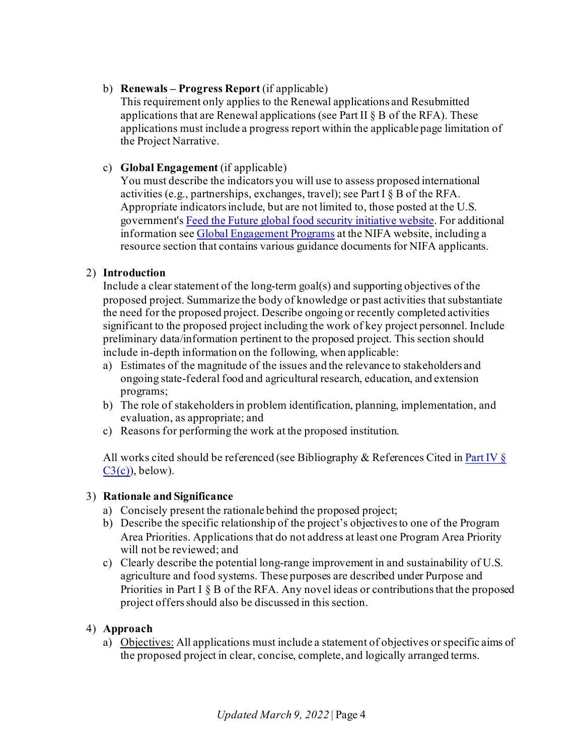### b) **Renewals – Progress Report** (if applicable)

This requirement only applies to the Renewal applications and Resubmitted applications that are Renewal applications (see Part II  $\S$  B of the RFA). These applications must include a progress report within the applicable page limitation of the Project Narrative.

## c) **Global Engagement** (if applicable)

You must describe the indicators you will use to assess proposed international activities (e.g., partnerships, exchanges, travel); see Part I § B of the RFA. Appropriate indicators include, but are not limited to, those posted at the U.S. government'[s Feed the Future global food security initiative website](http://www.feedthefuture.gov/progress). For additional information se[e Global Engagement Programs](https://nifa.usda.gov/program/global-engagement-programs) at the NIFA website, including a resource section that contains various guidance documents for NIFA applicants.

### <span id="page-3-0"></span>2) **Introduction**

Include a clear statement of the long-term goal(s) and supporting objectives of the proposed project. Summarize the body of knowledge or past activities that substantiate the need for the proposed project. Describe ongoing or recently completed activities significant to the proposed project including the work of key project personnel. Include preliminary data/information pertinent to the proposed project. This section should include in-depth information on the following, when applicable:

- a) Estimates of the magnitude of the issues and the relevance to stakeholders and ongoing state-federal food and agricultural research, education, and extension programs;
- b) The role of stakeholders in problem identification, planning, implementation, and evaluation, as appropriate; and
- c) Reasons for performing the work at the proposed institution.

All works cited should be referenced (see Bibliography & References Cited i[n Part IV §](#page-8-0)   $C3(c)$ , below).

### <span id="page-3-1"></span>3) **Rationale and Significance**

- a) Concisely present the rationale behind the proposed project;
- b) Describe the specific relationship of the project's objectives to one of the Program Area Priorities. Applications that do not address at least one Program Area Priority will not be reviewed; and
- c) Clearly describe the potential long-range improvement in and sustainability of U.S. agriculture and food systems. These purposes are described under Purpose and Priorities in Part I § B of the RFA. Any novel ideas or contributions that the proposed project offers should also be discussed in this section.

### <span id="page-3-2"></span>4) **Approach**

a) Objectives: All applications must include a statement of objectives or specific aims of the proposed project in clear, concise, complete, and logically arranged terms.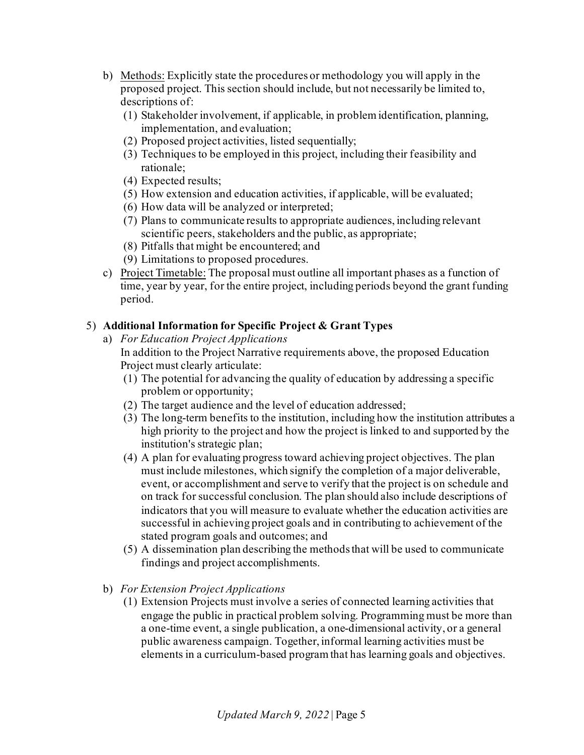- b) Methods: Explicitly state the procedures or methodology you will apply in the proposed project. This section should include, but not necessarily be limited to, descriptions of:
	- (1) Stakeholder involvement, if applicable, in problem identification, planning, implementation, and evaluation;
	- (2) Proposed project activities, listed sequentially;
	- (3) Techniques to be employed in this project, including their feasibility and rationale;
	- (4) Expected results;
	- (5) How extension and education activities, if applicable, will be evaluated;
	- (6) How data will be analyzed or interpreted;
	- (7) Plans to communicate results to appropriate audiences, including relevant scientific peers, stakeholders and the public, as appropriate;
	- (8) Pitfalls that might be encountered; and
	- (9) Limitations to proposed procedures.
- c) Project Timetable: The proposal must outline all important phases as a function of time, year by year, for the entire project, including periods beyond the grant funding period.

# <span id="page-4-0"></span>5) **Additional Information for Specific Project & Grant Types**

- a) *For Education Project Applications* In addition to the Project Narrative requirements above, the proposed Education Project must clearly articulate:
	- (1) The potential for advancing the quality of education by addressing a specific problem or opportunity;
	- (2) The target audience and the level of education addressed;
	- (3) The long-term benefits to the institution, including how the institution attributes a high priority to the project and how the project is linked to and supported by the institution's strategic plan;
	- (4) A plan for evaluating progress toward achieving project objectives. The plan must include milestones, which signify the completion of a major deliverable, event, or accomplishment and serve to verify that the project is on schedule and on track for successful conclusion. The plan should also include descriptions of indicators that you will measure to evaluate whether the education activities are successful in achieving project goals and in contributing to achievement of the stated program goals and outcomes; and
	- (5) A dissemination plan describing the methods that will be used to communicate findings and project accomplishments.
- b) *For Extension Project Applications*
	- (1) Extension Projects must involve a series of connected learning activities that engage the public in practical problem solving. Programming must be more than a one-time event, a single publication, a one-dimensional activity, or a general public awareness campaign. Together, informal learning activities must be elements in a curriculum-based program that has learning goals and objectives.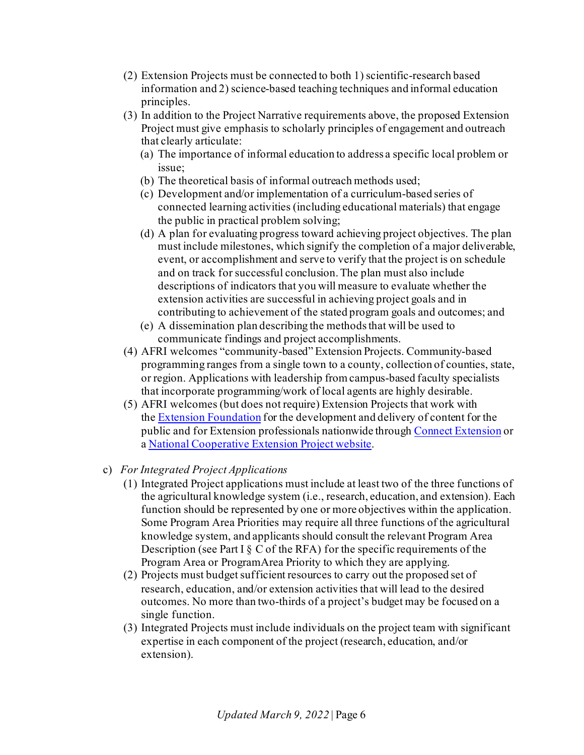- (2) Extension Projects must be connected to both 1) scientific-research based information and 2) science-based teaching techniques and informal education principles.
- (3) In addition to the Project Narrative requirements above, the proposed Extension Project must give emphasis to scholarly principles of engagement and outreach that clearly articulate:
	- (a) The importance of informal education to address a specific local problem or issue;
	- (b) The theoretical basis of informal outreach methods used;
	- (c) Development and/or implementation of a curriculum-based series of connected learning activities (including educational materials) that engage the public in practical problem solving;
	- (d) A plan for evaluating progress toward achieving project objectives. The plan must include milestones, which signify the completion of a major deliverable, event, or accomplishment and serve to verify that the project is on schedule and on track for successful conclusion. The plan must also include descriptions of indicators that you will measure to evaluate whether the extension activities are successful in achieving project goals and in contributing to achievement of the stated program goals and outcomes; and
	- (e) A dissemination plan describing the methods that will be used to communicate findings and project accomplishments.
- (4) AFRI welcomes "community-based" Extension Projects. Community-based programming ranges from a single town to a county, collection of counties, state, or region. Applications with leadership from campus-based faculty specialists that incorporate programming/work of local agents are highly desirable.
- (5) AFRI welcomes (but does not require) Extension Projects that work with the [Extension Foundation](https://extension.org/) for the development and delivery of content for the public and for Extension professionals nationwide through [Connect Extension](https://connect.extension.org/) or a [National Cooperative Extension Project website](https://extension.org/national-cooperative-extension-projects/).
- c) *For Integrated Project Applications*
	- (1) Integrated Project applications must include at least two of the three functions of the agricultural knowledge system (i.e., research, education, and extension). Each function should be represented by one or more objectives within the application. Some Program Area Priorities may require all three functions of the agricultural knowledge system, and applicants should consult the relevant Program Area Description (see Part I  $\S$  C of the RFA) for the specific requirements of the Program Area or ProgramArea Priority to which they are applying.
	- (2) Projects must budget sufficient resources to carry out the proposed set of research, education, and/or extension activities that will lead to the desired outcomes. No more than two-thirds of a project's budget may be focused on a single function.
	- (3) Integrated Projects must include individuals on the project team with significant expertise in each component of the project (research, education, and/or extension).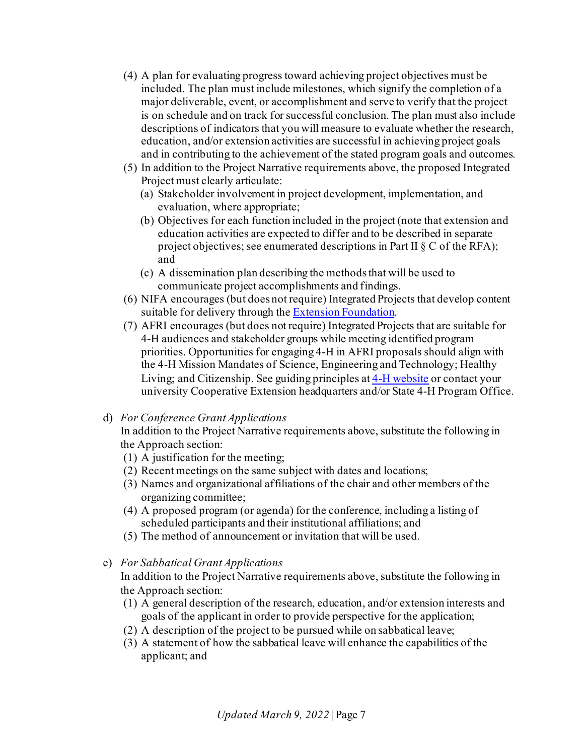- (4) A plan for evaluating progress toward achieving project objectives must be included. The plan must include milestones, which signify the completion of a major deliverable, event, or accomplishment and serve to verify that the project is on schedule and on track for successful conclusion. The plan must also include descriptions of indicators that you will measure to evaluate whether the research, education, and/or extension activities are successful in achieving project goals and in contributing to the achievement of the stated program goals and outcomes.
- (5) In addition to the Project Narrative requirements above, the proposed Integrated Project must clearly articulate:
	- (a) Stakeholder involvement in project development, implementation, and evaluation, where appropriate;
	- (b) Objectives for each function included in the project (note that extension and education activities are expected to differ and to be described in separate project objectives; see enumerated descriptions in Part II § C of the RFA); and
	- (c) A dissemination plan describing the methods that will be used to communicate project accomplishments and findings.
- (6) NIFA encourages (but does not require) Integrated Projects that develop content suitable for delivery through the [Extension Foundation](https://extension.org/).
- (7) AFRI encourages (but does not require) Integrated Projects that are suitable for 4-H audiences and stakeholder groups while meeting identified program priorities. Opportunities for engaging 4-H in AFRI proposals should align with the 4-H Mission Mandates of Science, Engineering and Technology; Healthy Living; and Citizenship. See guiding principles a[t 4-H website](https://4-h.org/) or contact your university Cooperative Extension headquarters and/or State 4-H Program Office.

### d) *For Conference Grant Applications*

In addition to the Project Narrative requirements above, substitute the following in the Approach section:

- (1) A justification for the meeting;
- (2) Recent meetings on the same subject with dates and locations;
- (3) Names and organizational affiliations of the chair and other members of the organizing committee;
- (4) A proposed program (or agenda) for the conference, including a listing of scheduled participants and their institutional affiliations; and
- (5) The method of announcement or invitation that will be used.
- e) *For Sabbatical Grant Applications*

In addition to the Project Narrative requirements above, substitute the following in the Approach section:

- (1) A general description of the research, education, and/or extension interests and goals of the applicant in order to provide perspective for the application;
- (2) A description of the project to be pursued while on sabbatical leave;
- (3) A statement of how the sabbatical leave will enhance the capabilities of the applicant; and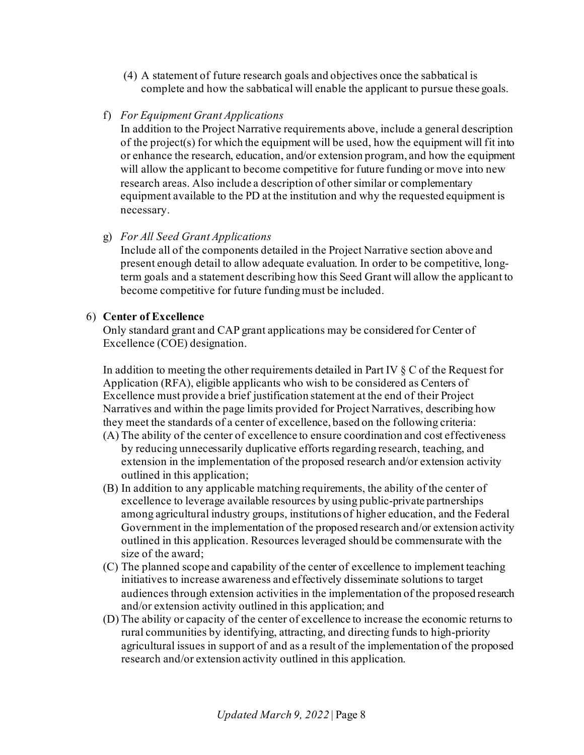- (4) A statement of future research goals and objectives once the sabbatical is complete and how the sabbatical will enable the applicant to pursue these goals.
- f) *For Equipment Grant Applications*

In addition to the Project Narrative requirements above, include a general description of the project(s) for which the equipment will be used, how the equipment will fit into or enhance the research, education, and/or extension program, and how the equipment will allow the applicant to become competitive for future funding or move into new research areas. Also include a description of other similar or complementary equipment available to the PD at the institution and why the requested equipment is necessary.

### g) *For All Seed Grant Applications*

Include all of the components detailed in the Project Narrative section above and present enough detail to allow adequate evaluation. In order to be competitive, longterm goals and a statement describing how this Seed Grant will allow the applicant to become competitive for future funding must be included.

### <span id="page-7-0"></span>6) **Center of Excellence**

Only standard grant and CAP grant applications may be considered for Center of Excellence (COE) designation.

In addition to meeting the other requirements detailed in Part IV  $\S$  C of the Request for Application (RFA), eligible applicants who wish to be considered as Centers of Excellence must provide a brief justification statement at the end of their Project Narratives and within the page limits provided for Project Narratives, describing how they meet the standards of a center of excellence, based on the following criteria:

- (A) The ability of the center of excellence to ensure coordination and cost effectiveness by reducing unnecessarily duplicative efforts regarding research, teaching, and extension in the implementation of the proposed research and/or extension activity outlined in this application;
- (B) In addition to any applicable matching requirements, the ability of the center of excellence to leverage available resources by using public-private partnerships among agricultural industry groups, institutions of higher education, and the Federal Government in the implementation of the proposed research and/or extension activity outlined in this application. Resources leveraged should be commensurate with the size of the award;
- (C) The planned scope and capability of the center of excellence to implement teaching initiatives to increase awareness and effectively disseminate solutions to target audiences through extension activities in the implementation of the proposed research and/or extension activity outlined in this application; and
- (D) The ability or capacity of the center of excellence to increase the economic returns to rural communities by identifying, attracting, and directing funds to high-priority agricultural issues in support of and as a result of the implementation of the proposed research and/or extension activity outlined in this application.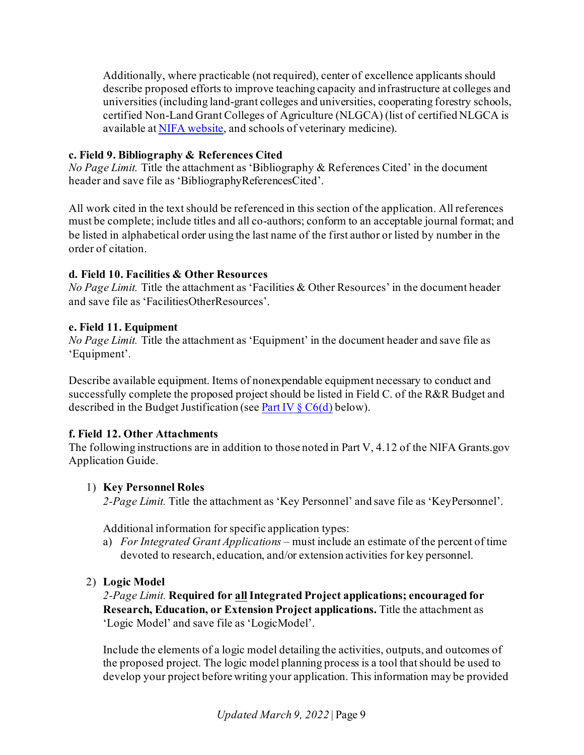Additionally, where practicable (not required), center of excellence applicants should describe proposed efforts to improve teaching capacity and infrastructure at colleges and universities (including land-grant colleges and universities, cooperating forestry schools, certified Non-Land Grant Colleges of Agriculture (NLGCA) (list of certified NLGCA is available a[t NIFA website,](https://nifa.usda.gov/resource/nlgca-list) and schools of veterinary medicine).

### <span id="page-8-0"></span>**c. Field 9. Bibliography & References Cited**

*No Page Limit.* Title the attachment as 'Bibliography & References Cited' in the document header and save file as 'BibliographyReferencesCited'.

All work cited in the text should be referenced in this section of the application. All references must be complete; include titles and all co-authors; conform to an acceptable journal format; and be listed in alphabetical order using the last name of the first author or listed by number in the order of citation.

#### <span id="page-8-1"></span>**d. Field 10. Facilities & Other Resources**

*No Page Limit.* Title the attachment as 'Facilities & Other Resources' in the document header and save file as 'FacilitiesOtherResources'.

#### <span id="page-8-2"></span>**e. Field 11. Equipment**

*No Page Limit.* Title the attachment as 'Equipment' in the document header and save file as 'Equipment'.

Describe available equipment. Items of nonexpendable equipment necessary to conduct and successfully complete the proposed project should be listed in Field C. of the R&R Budget and described in the Budget Justification (se[e Part IV § C6\(d\)](#page-14-1) below).

### <span id="page-8-3"></span>**f. Field 12. Other Attachments**

The following instructions are in addition to those noted in Part V, 4.12 of the NIFA Grants.gov Application Guide.

### <span id="page-8-4"></span>1) **Key Personnel Roles**

*2-Page Limit.* Title the attachment as 'Key Personnel' and save file as 'KeyPersonnel'.

Additional information for specific application types:

- a) *For Integrated Grant Applications* must include an estimate of the percent of time devoted to research, education, and/or extension activities for key personnel.
- <span id="page-8-5"></span>2) **Logic Model**

*2-Page Limit.* **Required for allIntegrated Project applications; encouraged for Research, Education, or Extension Project applications.** Title the attachment as 'Logic Model' and save file as 'LogicModel'.

Include the elements of a logic model detailing the activities, outputs, and outcomes of the proposed project. The logic model planning process is a tool that should be used to develop your project before writing your application. This information may be provided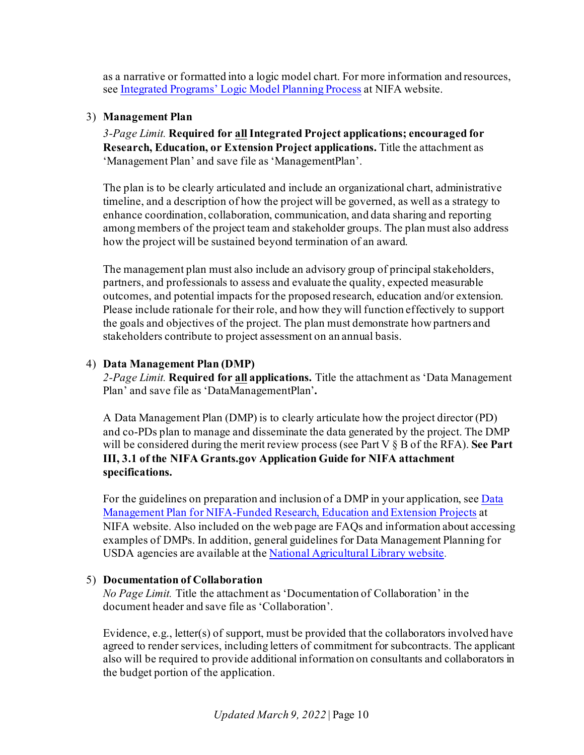as a narrative or formatted into a logic model chart. For more information and resources, see [Integrated Programs' Logic Model Planning Process](https://nifa.usda.gov/resource/integrated-programs-logic-model-planning-process) at NIFA website.

#### <span id="page-9-0"></span>3) **Management Plan**

*3-Page Limit.* **Required for allIntegrated Project applications; encouraged for Research, Education, or Extension Project applications.** Title the attachment as 'Management Plan' and save file as 'ManagementPlan'.

The plan is to be clearly articulated and include an organizational chart, administrative timeline, and a description of how the project will be governed, as well as a strategy to enhance coordination, collaboration, communication, and data sharing and reporting among members of the project team and stakeholder groups. The plan must also address how the project will be sustained beyond termination of an award.

The management plan must also include an advisory group of principal stakeholders, partners, and professionals to assess and evaluate the quality, expected measurable outcomes, and potential impacts for the proposed research, education and/or extension. Please include rationale for their role, and how they will function effectively to support the goals and objectives of the project. The plan must demonstrate how partners and stakeholders contribute to project assessment on an annual basis.

#### <span id="page-9-1"></span>4) **Data Management Plan (DMP)**

*2-Page Limit.* **Required for all applications.** Title the attachment as 'Data Management Plan' and save file as 'DataManagementPlan'**.**

A Data Management Plan (DMP) is to clearly articulate how the project director (PD) and co-PDs plan to manage and disseminate the data generated by the project. The DMP will be considered during the merit review process (see Part V § B of the RFA). **See Part III, 3.1 of the NIFA Grants.gov Application Guide for NIFA attachment specifications.**

For the guidelines on preparation and inclusion of a DMP in your application, se[e Data](https://nifa.usda.gov/resource/data-management-plan-nifa-funded-research-projects)  [Management Plan for NIFA-Funded Research, Education and Extension Projects](https://nifa.usda.gov/resource/data-management-plan-nifa-funded-research-projects) at NIFA website. Also included on the web page are FAQs and information about accessing examples of DMPs. In addition, general guidelines for Data Management Planning for USDA agencies are available at th[e National Agricultural Library website](https://www.nal.usda.gov/ks/guidelines-data-management-planning).

### <span id="page-9-2"></span>5) **Documentation of Collaboration**

*No Page Limit.* Title the attachment as 'Documentation of Collaboration' in the document header and save file as 'Collaboration'.

Evidence, e.g., letter(s) of support, must be provided that the collaborators involved have agreed to render services, including letters of commitment for subcontracts. The applicant also will be required to provide additional information on consultants and collaborators in the budget portion of the application.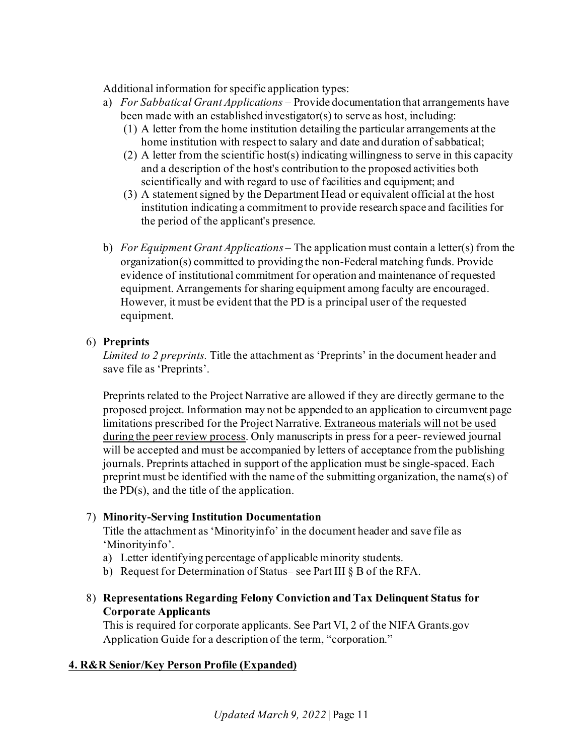Additional information for specific application types:

- a) *For Sabbatical Grant Applications* Provide documentation that arrangements have been made with an established investigator(s) to serve as host, including:
	- (1) A letter from the home institution detailing the particular arrangements at the home institution with respect to salary and date and duration of sabbatical;
	- (2) A letter from the scientific host(s) indicating willingness to serve in this capacity and a description of the host's contribution to the proposed activities both scientifically and with regard to use of facilities and equipment; and
	- (3) A statement signed by the Department Head or equivalent official at the host institution indicating a commitment to provide research space and facilities for the period of the applicant's presence.
- b) *For Equipment Grant Applications* The application must contain a letter(s) from the organization(s) committed to providing the non-Federal matching funds. Provide evidence of institutional commitment for operation and maintenance of requested equipment. Arrangements for sharing equipment among faculty are encouraged. However, it must be evident that the PD is a principal user of the requested equipment.

### <span id="page-10-0"></span>6) **Preprints**

*Limited to 2 preprints.* Title the attachment as 'Preprints' in the document header and save file as 'Preprints'.

Preprints related to the Project Narrative are allowed if they are directly germane to the proposed project. Information may not be appended to an application to circumvent page limitations prescribed for the Project Narrative. Extraneous materials will not be used during the peer review process. Only manuscripts in press for a peer- reviewed journal will be accepted and must be accompanied by letters of acceptance from the publishing journals. Preprints attached in support of the application must be single-spaced. Each preprint must be identified with the name of the submitting organization, the name(s) of the PD(s), and the title of the application.

### <span id="page-10-1"></span>7) **Minority-Serving Institution Documentation**

Title the attachment as 'Minorityinfo' in the document header and save file as 'Minorityinfo'.

- a) Letter identifying percentage of applicable minority students.
- b) Request for Determination of Status– see Part III § B of the RFA.
- <span id="page-10-2"></span>8) **Representations Regarding Felony Conviction and Tax Delinquent Status for Corporate Applicants**

This is required for corporate applicants. See Part VI, 2 of the NIFA Grants.gov Application Guide for a description of the term, "corporation."

### <span id="page-10-3"></span>**4. R&R Senior/Key Person Profile (Expanded)**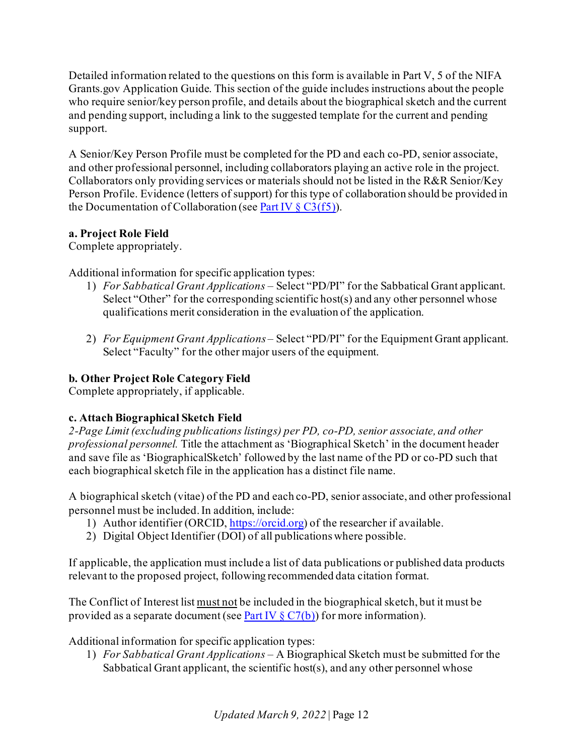Detailed information related to the questions on this form is available in Part V, 5 of the NIFA Grants.gov Application Guide. This section of the guide includes instructions about the people who require senior/key person profile, and details about the biographical sketch and the current and pending support, including a link to the suggested template for the current and pending support.

A Senior/Key Person Profile must be completed for the PD and each co-PD, senior associate, and other professional personnel, including collaborators playing an active role in the project. Collaborators only providing services or materials should not be listed in the R&R Senior/Key Person Profile. Evidence (letters of support) for this type of collaboration should be provided in the Documentation of Collaboration (see Part IV  $\S$  C3(f5)).

# <span id="page-11-0"></span>**a. Project Role Field**

Complete appropriately.

Additional information for specific application types:

- 1) *For Sabbatical Grant Applications* Select "PD/PI" for the Sabbatical Grant applicant. Select "Other" for the corresponding scientific host(s) and any other personnel whose qualifications merit consideration in the evaluation of the application.
- 2) *For Equipment Grant Applications* Select "PD/PI" for the Equipment Grant applicant. Select "Faculty" for the other major users of the equipment.

# <span id="page-11-1"></span>**b. Other Project Role Category Field**

Complete appropriately, if applicable.

# <span id="page-11-2"></span>**c. Attach Biographical Sketch Field**

*2-Page Limit (excluding publications listings) per PD, co-PD, senior associate, and other professional personnel.* Title the attachment as 'Biographical Sketch' in the document header and save file as 'BiographicalSketch' followed by the last name of the PD or co-PD such that each biographical sketch file in the application has a distinct file name.

A biographical sketch (vitae) of the PD and each co-PD, senior associate, and other professional personnel must be included. In addition, include:

- 1) Author identifier (ORCID[, https://orcid.org\)](https://orcid.org/) of the researcher if available.
- 2) Digital Object Identifier  $(D\overline{OI})$  of all publications where possible.

If applicable, the application must include a list of data publications or published data products relevant to the proposed project, following recommended data citation format.

The Conflict of Interest list must not be included in the biographical sketch, but it must be provided as a separate document (see Part IV  $\S C7(b)$ ) for more information).

Additional information for specific application types:

1) *For Sabbatical Grant Applications –* A Biographical Sketch must be submitted for the Sabbatical Grant applicant, the scientific host(s), and any other personnel whose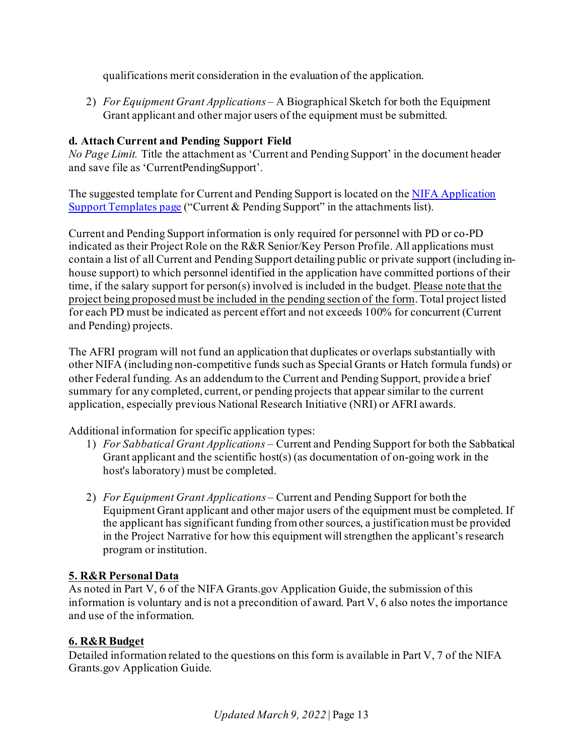qualifications merit consideration in the evaluation of the application.

2) *For Equipment Grant Applications* – A Biographical Sketch for both the Equipment Grant applicant and other major users of the equipment must be submitted.

# <span id="page-12-0"></span>**d. Attach Current and Pending Support Field**

*No Page Limit.* Title the attachment as 'Current and Pending Support' in the document header and save file as 'CurrentPendingSupport'.

The suggested template for Current and Pending Support is located on the NIFA Application [Support Templates page](https://nifa.usda.gov/resource/application-support-templates) ("Current & Pending Support" in the attachments list).

Current and Pending Support information is only required for personnel with PD or co-PD indicated as their Project Role on the R&R Senior/Key Person Profile. All applications must contain a list of all Current and Pending Support detailing public or private support (including inhouse support) to which personnel identified in the application have committed portions of their time, if the salary support for person(s) involved is included in the budget. Please note that the project being proposed must be included in the pending section of the form. Total project listed for each PD must be indicated as percent effort and not exceeds 100% for concurrent (Current and Pending) projects.

The AFRI program will not fund an application that duplicates or overlaps substantially with other NIFA (including non-competitive funds such as Special Grants or Hatch formula funds) or other Federal funding. As an addendum to the Current and Pending Support, provide a brief summary for any completed, current, or pending projects that appear similar to the current application, especially previous National Research Initiative (NRI) or AFRI awards.

Additional information for specific application types:

- 1) *For Sabbatical Grant Applications* Current and Pending Support for both the Sabbatical Grant applicant and the scientific host(s) (as documentation of on-going work in the host's laboratory) must be completed.
- 2) *For Equipment Grant Applications*  Current and Pending Support for both the Equipment Grant applicant and other major users of the equipment must be completed. If the applicant has significant funding from other sources, a justification must be provided in the Project Narrative for how this equipment will strengthen the applicant's research program or institution.

# <span id="page-12-1"></span>**5. R&R Personal Data**

As noted in Part V, 6 of the NIFA Grants.gov Application Guide, the submission of this information is voluntary and is not a precondition of award. Part V, 6 also notes the importance and use of the information.

# <span id="page-12-2"></span>**6. R&R Budget**

Detailed information related to the questions on this form is available in Part V, 7 of the NIFA Grants.gov Application Guide.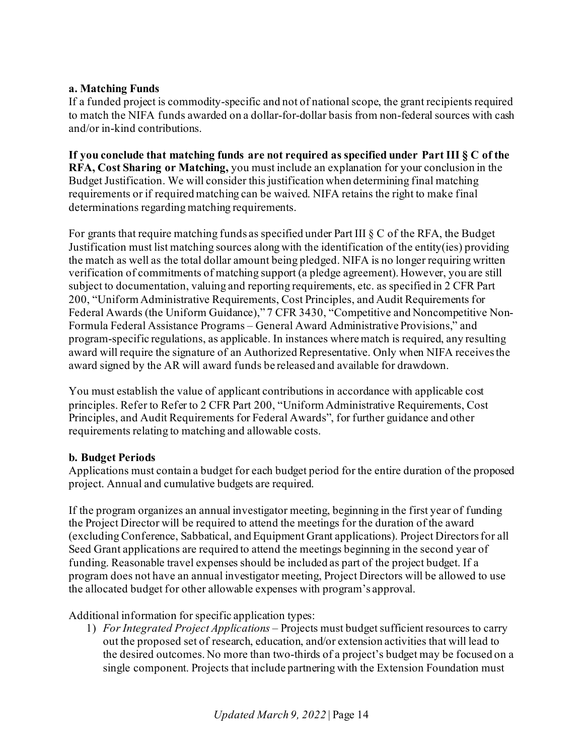### <span id="page-13-0"></span>**a. Matching Funds**

If a funded project is commodity-specific and not of national scope, the grant recipients required to match the NIFA funds awarded on a dollar-for-dollar basis from non-federal sources with cash and/or in-kind contributions.

**If you conclude that matching funds are not required as specified under Part III § C of the RFA, Cost Sharing or Matching,** you must include an explanation for your conclusion in the Budget Justification. We will consider this justification when determining final matching requirements or if required matching can be waived. NIFA retains the right to make final determinations regarding matching requirements.

For grants that require matching funds as specified under Part III § C of the RFA, the Budget Justification must list matching sources along with the identification of the entity(ies) providing the match as well as the total dollar amount being pledged. NIFA is no longer requiring written verification of commitments of matching support (a pledge agreement). However, you are still subject to documentation, valuing and reporting requirements, etc. as specified in 2 CFR Part 200, "Uniform Administrative Requirements, Cost Principles, and Audit Requirements for Federal Awards (the Uniform Guidance)," 7 CFR 3430, "Competitive and Noncompetitive Non-Formula Federal Assistance Programs – General Award Administrative Provisions," and program-specific regulations, as applicable. In instances where match is required, any resulting award will require the signature of an Authorized Representative. Only when NIFA receives the award signed by the AR will award funds be released and available for drawdown.

You must establish the value of applicant contributions in accordance with applicable cost principles. Refer to Refer to 2 CFR Part 200, "Uniform Administrative Requirements, Cost Principles, and Audit Requirements for Federal Awards", for further guidance and other requirements relating to matching and allowable costs.

#### <span id="page-13-1"></span>**b. Budget Periods**

Applications must contain a budget for each budget period for the entire duration of the proposed project. Annual and cumulative budgets are required.

If the program organizes an annual investigator meeting, beginning in the first year of funding the Project Director will be required to attend the meetings for the duration of the award (excluding Conference, Sabbatical, and Equipment Grant applications). Project Directors for all Seed Grant applications are required to attend the meetings beginning in the second year of funding. Reasonable travel expenses should be included as part of the project budget. If a program does not have an annual investigator meeting, Project Directors will be allowed to use the allocated budget for other allowable expenses with program's approval.

Additional information for specific application types:

1) *For Integrated Project Applications –* Projects must budget sufficient resources to carry out the proposed set of research, education, and/or extension activities that will lead to the desired outcomes. No more than two-thirds of a project's budget may be focused on a single component. Projects that include partnering with the Extension Foundation must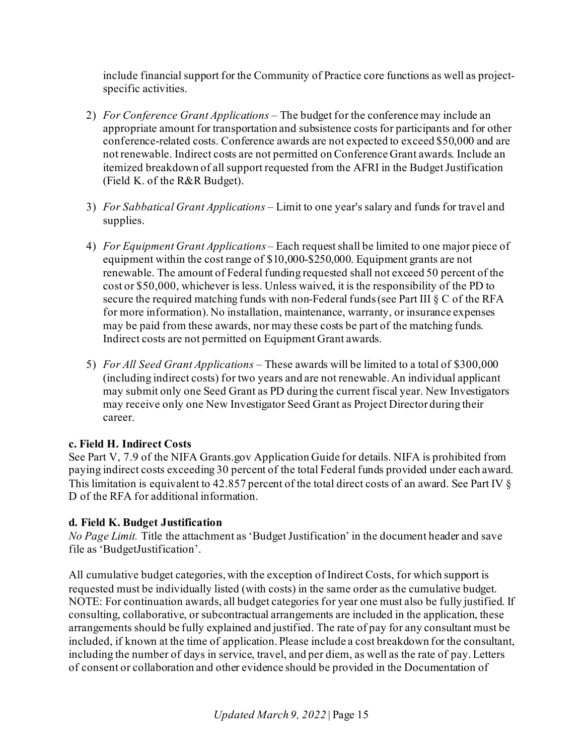include financial support for the Community of Practice core functions as well as projectspecific activities.

- 2) *For Conference Grant Applications –* The budget for the conference may include an appropriate amount for transportation and subsistence costs for participants and for other conference-related costs. Conference awards are not expected to exceed \$50,000 and are not renewable. Indirect costs are not permitted on Conference Grant awards. Include an itemized breakdown of all support requested from the AFRI in the Budget Justification (Field K. of the R&R Budget).
- 3) *For Sabbatical Grant Applications –* Limit to one year's salary and funds for travel and supplies.
- 4) *For Equipment Grant Applications*  Each request shall be limited to one major piece of equipment within the cost range of \$10,000-\$250,000. Equipment grants are not renewable. The amount of Federal funding requested shall not exceed 50 percent of the cost or \$50,000, whichever is less. Unless waived, it is the responsibility of the PD to secure the required matching funds with non-Federal funds (see Part III § C of the RFA for more information). No installation, maintenance, warranty, or insurance expenses may be paid from these awards, nor may these costs be part of the matching funds. Indirect costs are not permitted on Equipment Grant awards.
- 5) *For All Seed Grant Applications*  These awards will be limited to a total of \$300,000 (including indirect costs) for two years and are not renewable. An individual applicant may submit only one Seed Grant as PD during the current fiscal year. New Investigators may receive only one New Investigator Seed Grant as Project Director during their career.

# <span id="page-14-0"></span>**c. Field H. Indirect Costs**

See Part V, 7.9 of the NIFA Grants.gov Application Guide for details. NIFA is prohibited from paying indirect costs exceeding 30 percent of the total Federal funds provided under each award. This limitation is equivalent to 42.857 percent of the total direct costs of an award. See Part IV § D of the RFA for additional information.

# <span id="page-14-1"></span>**d. Field K. Budget Justification**

*No Page Limit.* Title the attachment as 'Budget Justification' in the document header and save file as 'BudgetJustification'.

All cumulative budget categories, with the exception of Indirect Costs, for which support is requested must be individually listed (with costs) in the same order as the cumulative budget. NOTE: For continuation awards, all budget categories for year one must also be fully justified. If consulting, collaborative, or subcontractual arrangements are included in the application, these arrangements should be fully explained and justified. The rate of pay for any consultant must be included, if known at the time of application. Please include a cost breakdown for the consultant, including the number of days in service, travel, and per diem, as well as the rate of pay. Letters of consent or collaboration and other evidence should be provided in the Documentation of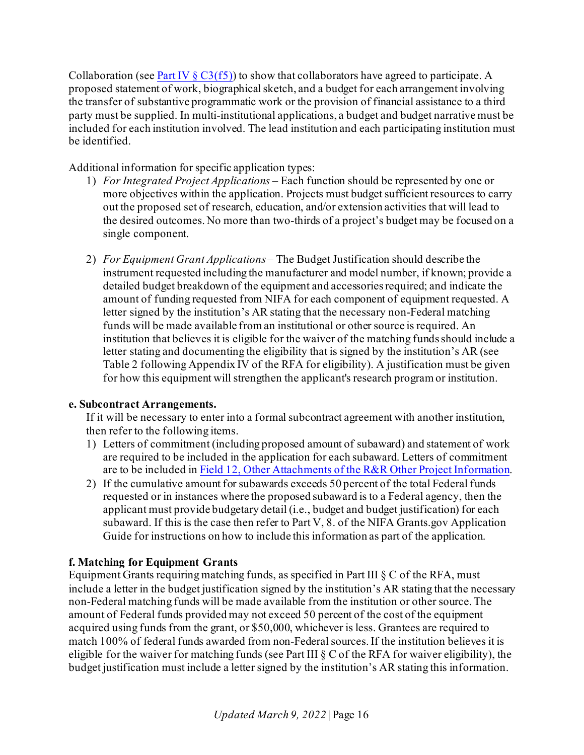Collaboration (see Part IV  $\S C3(f5)$ ) to show that collaborators have agreed to participate. A proposed statement of work, biographical sketch, and a budget for each arrangement involving the transfer of substantive programmatic work or the provision of financial assistance to a third party must be supplied. In multi-institutional applications, a budget and budget narrative must be included for each institution involved. The lead institution and each participating institution must be identified.

Additional information for specific application types:

- 1) *For Integrated Project Applications* Each function should be represented by one or more objectives within the application. Projects must budget sufficient resources to carry out the proposed set of research, education, and/or extension activities that will lead to the desired outcomes. No more than two-thirds of a project's budget may be focused on a single component.
- 2) *For Equipment Grant Applications*  The Budget Justification should describe the instrument requested including the manufacturer and model number, if known; provide a detailed budget breakdown of the equipment and accessories required; and indicate the amount of funding requested from NIFA for each component of equipment requested. A letter signed by the institution's AR stating that the necessary non-Federal matching funds will be made available from an institutional or other source is required. An institution that believes it is eligible for the waiver of the matching funds should include a letter stating and documenting the eligibility that is signed by the institution's AR (see Table 2 following Appendix IV of the RFA for eligibility). A justification must be given for how this equipment will strengthen the applicant's research program or institution.

# <span id="page-15-0"></span>**e. Subcontract Arrangements.**

If it will be necessary to enter into a formal subcontract agreement with another institution, then refer to the following items.

- 1) Letters of commitment (including proposed amount of subaward) and statement of work are required to be included in the application for each subaward. Letters of commitment are to be included in [Field 12, Other Attachments of the R&R Other Project Information](#page-9-2).
- 2) If the cumulative amount for subawards exceeds 50 percent of the total Federal funds requested or in instances where the proposed subaward is to a Federal agency, then the applicant must provide budgetary detail (i.e., budget and budget justification) for each subaward. If this is the case then refer to Part V, 8. of the NIFA Grants.gov Application Guide for instructions on how to include this information as part of the application.

# <span id="page-15-1"></span>**f. Matching for Equipment Grants**

Equipment Grants requiring matching funds, as specified in Part III  $\S\ C$  of the RFA, must include a letter in the budget justification signed by the institution's AR stating that the necessary non-Federal matching funds will be made available from the institution or other source. The amount of Federal funds provided may not exceed 50 percent of the cost of the equipment acquired using funds from the grant, or \$50,000, whichever is less. Grantees are required to match 100% of federal funds awarded from non-Federal sources. If the institution believes it is eligible for the waiver for matching funds (see Part III § C of the RFA for waiver eligibility), the budget justification must include a letter signed by the institution's AR stating this information.